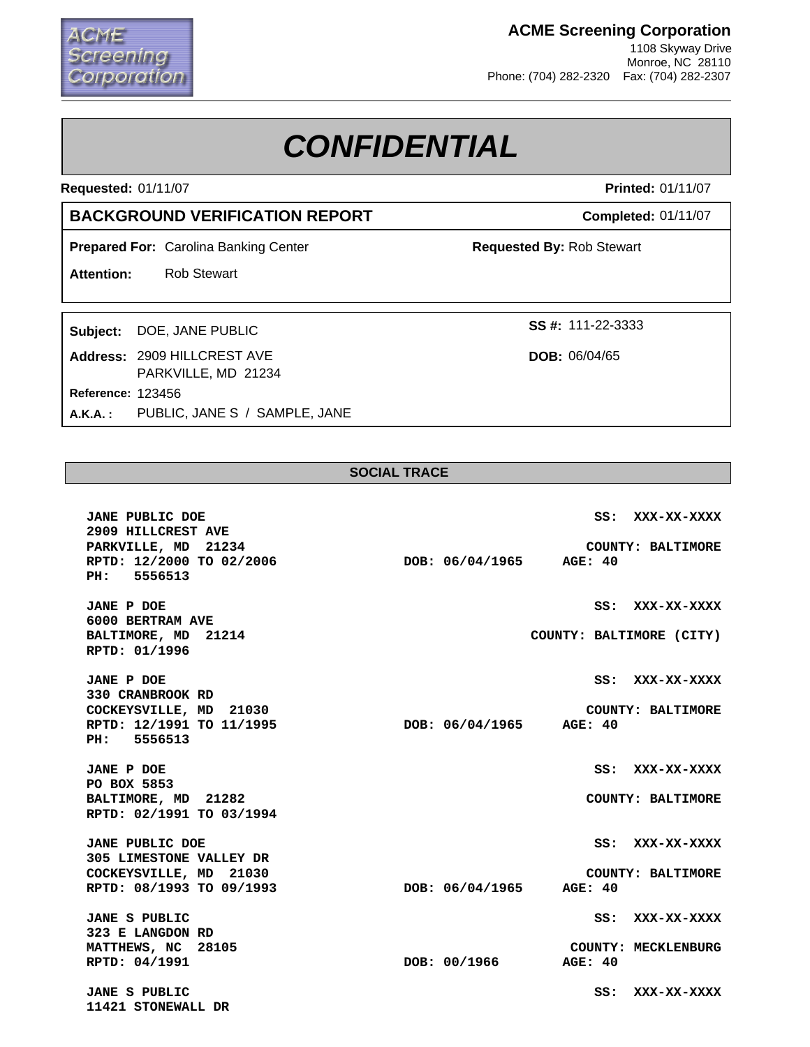## :reening orporation

### **ACME Screening Corporation**

1108 Skyway Drive Monroe, NC 28110 Phone: (704) 282-2320 Fax: (704) 282-2307

# *CONFIDENTIAL*

**Requested:** 01/11/07

### **BACKGROUND VERIFICATION REPORT**

**Prepared For: Carolina Banking Center** 

**Attention:** Rob Stewart

Subject: DOE, JANE PUBLIC

123456 **Reference: Address:** 2909 HILLCREST AVE PARKVILLE, MD 21234 **A.K.A. :** PUBLIC, JANE S / SAMPLE, JANE **Printed:** 01/11/07

**Completed:** 01/11/07

**Requested By:** Rob Stewart

**SS #:**

**DOB:** 06/04/65

#### **SOCIAL TRACE**

**JANE PUBLIC DOE SS: XXX-XX-XXXX 2909 HILLCREST AVE PARKVILLE, MD 21234 COUNTY: BALTIMORE RPTD: 12/2000 TO 02/2006 DOB: 06/04/1965 AGE: 40 PH: 5556513 JANE P DOE SS: XXX-XX-XXXX 6000 BERTRAM AVE**  BALTIMORE, MD 21214 **COUNTY: BALTIMORE (CITY) RPTD: 01/1996 JANE P DOE SS: XXX-XX-XXXX 330 CRANBROOK RD COCKEYSVILLE, MD** 21030<br> **RPTD: 12/1991 TO 11/1995 COUNTY: BALTIMORE**<br> **DOB: 06/04/1965 AGE: 40 RPTD: 12/1991 TO 11/1995 DOB: 06/04/1965 AGE: 40 PH: 5556513 JANE P DOE SS: XXX-XX-XXXX PO BOX 5853 BALTIMORE, MD 21282 COUNTY: BALTIMORE RPTD: 02/1991 TO 03/1994 JANE PUBLIC DOE SS: XXX-XX-XXXX 305 LIMESTONE VALLEY DR COCKEYSVILLE, MD** 21030<br> **RPTD: 08/1993 TO 09/1993 COUNTY: BALTIMORE**<br> **DOB: 06/04/1965** AGE: 40 **RPTD: 08/1993 TO 09/1993 DOB: 06/04/1965 AGE: 40 JANE S PUBLIC SS: XXX-XX-XXXX 323 E LANGDON RD MATTHEWS, NC** 28105 **COUNTY: MECKLENBURG RPTD: 04/1991 DOB: 00/1966 AGE: 40 JANE S PUBLIC SS: XXX-XX-XXXX 11421 STONEWALL DR**